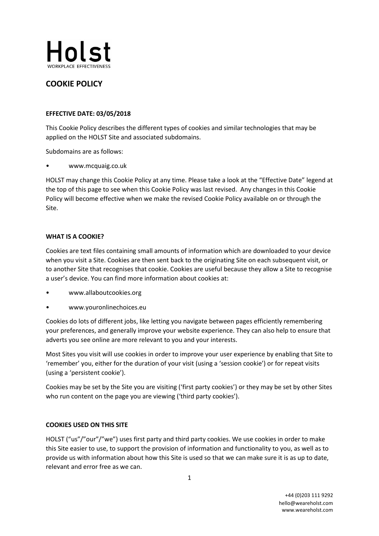

# **COOKIE POLICY**

## **EFFECTIVE DATE: 03/05/2018**

This Cookie Policy describes the different types of cookies and similar technologies that may be applied on the HOLST Site and associated subdomains.

Subdomains are as follows:

• www.mcquaig.co.uk

HOLST may change this Cookie Policy at any time. Please take a look at the "Effective Date" legend at the top of this page to see when this Cookie Policy was last revised. Any changes in this Cookie Policy will become effective when we make the revised Cookie Policy available on or through the Site.

## **WHAT IS A COOKIE?**

Cookies are text files containing small amounts of information which are downloaded to your device when you visit a Site. Cookies are then sent back to the originating Site on each subsequent visit, or to another Site that recognises that cookie. Cookies are useful because they allow a Site to recognise a user's device. You can find more information about cookies at:

- www.allaboutcookies.org
- www.youronlinechoices.eu

Cookies do lots of different jobs, like letting you navigate between pages efficiently remembering your preferences, and generally improve your website experience. They can also help to ensure that adverts you see online are more relevant to you and your interests.

Most Sites you visit will use cookies in order to improve your user experience by enabling that Site to 'remember' you, either for the duration of your visit (using a 'session cookie') or for repeat visits (using a 'persistent cookie').

Cookies may be set by the Site you are visiting ('first party cookies') or they may be set by other Sites who run content on the page you are viewing ('third party cookies').

## **COOKIES USED ON THIS SITE**

HOLST ("us"/"our"/"we") uses first party and third party cookies. We use cookies in order to make this Site easier to use, to support the provision of information and functionality to you, as well as to provide us with information about how this Site is used so that we can make sure it is as up to date, relevant and error free as we can.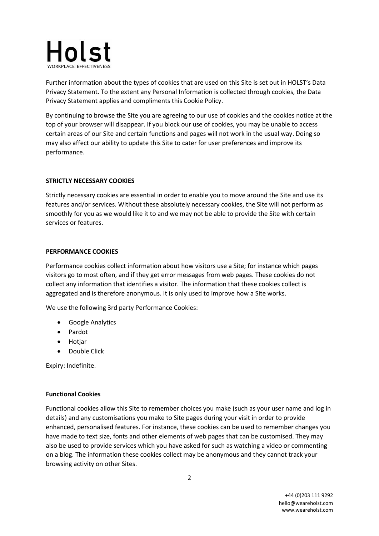

Further information about the types of cookies that are used on this Site is set out in HOLST's Data Privacy Statement. To the extent any Personal Information is collected through cookies, the Data Privacy Statement applies and compliments this Cookie Policy.

By continuing to browse the Site you are agreeing to our use of cookies and the cookies notice at the top of your browser will disappear. If you block our use of cookies, you may be unable to access certain areas of our Site and certain functions and pages will not work in the usual way. Doing so may also affect our ability to update this Site to cater for user preferences and improve its performance.

## **STRICTLY NECESSARY COOKIES**

Strictly necessary cookies are essential in order to enable you to move around the Site and use its features and/or services. Without these absolutely necessary cookies, the Site will not perform as smoothly for you as we would like it to and we may not be able to provide the Site with certain services or features.

## **PERFORMANCE COOKIES**

Performance cookies collect information about how visitors use a Site; for instance which pages visitors go to most often, and if they get error messages from web pages. These cookies do not collect any information that identifies a visitor. The information that these cookies collect is aggregated and is therefore anonymous. It is only used to improve how a Site works.

We use the following 3rd party Performance Cookies:

- Google Analytics
- Pardot
- Hotjar
- Double Click

Expiry: Indefinite.

#### **Functional Cookies**

Functional cookies allow this Site to remember choices you make (such as your user name and log in details) and any customisations you make to Site pages during your visit in order to provide enhanced, personalised features. For instance, these cookies can be used to remember changes you have made to text size, fonts and other elements of web pages that can be customised. They may also be used to provide services which you have asked for such as watching a video or commenting on a blog. The information these cookies collect may be anonymous and they cannot track your browsing activity on other Sites.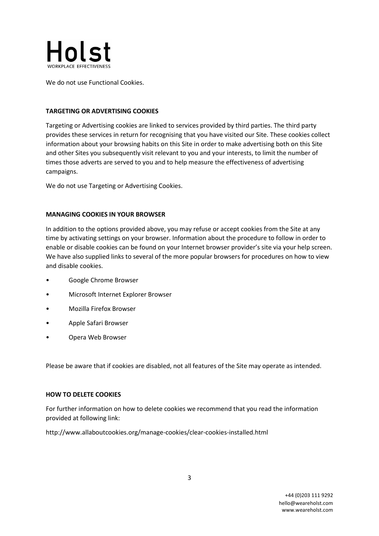

We do not use Functional Cookies.

#### **TARGETING OR ADVERTISING COOKIES**

Targeting or Advertising cookies are linked to services provided by third parties. The third party provides these services in return for recognising that you have visited our Site. These cookies collect information about your browsing habits on this Site in order to make advertising both on this Site and other Sites you subsequently visit relevant to you and your interests, to limit the number of times those adverts are served to you and to help measure the effectiveness of advertising campaigns.

We do not use Targeting or Advertising Cookies.

## **MANAGING COOKIES IN YOUR BROWSER**

In addition to the options provided above, you may refuse or accept cookies from the Site at any time by activating settings on your browser. Information about the procedure to follow in order to enable or disable cookies can be found on your Internet browser provider's site via your help screen. We have also supplied links to several of the more popular browsers for procedures on how to view and disable cookies.

- Google Chrome Browser
- Microsoft Internet Explorer Browser
- Mozilla Firefox Browser
- Apple Safari Browser
- Opera Web Browser

Please be aware that if cookies are disabled, not all features of the Site may operate as intended.

#### **HOW TO DELETE COOKIES**

For further information on how to delete cookies we recommend that you read the information provided at following link:

http://www.allaboutcookies.org/manage-cookies/clear-cookies-installed.html